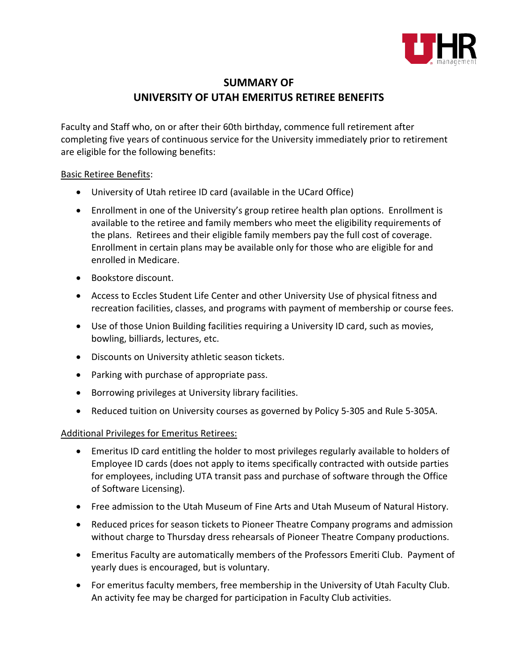

## **SUMMARY OF UNIVERSITY OF UTAH EMERITUS RETIREE BENEFITS**

Faculty and Staff who, on or after their 60th birthday, commence full retirement after completing five years of continuous service for the University immediately prior to retirement are eligible for the following benefits:

## Basic Retiree Benefits:

- University of Utah retiree ID card (available in the UCard Office)
- Enrollment in one of the University's group retiree health plan options. Enrollment is available to the retiree and family members who meet the eligibility requirements of the plans. Retirees and their eligible family members pay the full cost of coverage. Enrollment in certain plans may be available only for those who are eligible for and enrolled in Medicare.
- Bookstore discount.
- Access to Eccles Student Life Center and other University Use of physical fitness and recreation facilities, classes, and programs with payment of membership or course fees.
- Use of those Union Building facilities requiring a University ID card, such as movies, bowling, billiards, lectures, etc.
- Discounts on University athletic season tickets.
- Parking with purchase of appropriate pass.
- Borrowing privileges at University library facilities.
- Reduced tuition on University courses as governed by Policy 5-305 and Rule 5-305A.

## Additional Privileges for Emeritus Retirees:

- Emeritus ID card entitling the holder to most privileges regularly available to holders of Employee ID cards (does not apply to items specifically contracted with outside parties for employees, including UTA transit pass and purchase of software through the Office of Software Licensing).
- Free admission to the Utah Museum of Fine Arts and Utah Museum of Natural History.
- Reduced prices for season tickets to Pioneer Theatre Company programs and admission without charge to Thursday dress rehearsals of Pioneer Theatre Company productions.
- Emeritus Faculty are automatically members of the Professors Emeriti Club. Payment of yearly dues is encouraged, but is voluntary.
- For emeritus faculty members, free membership in the University of Utah Faculty Club. An activity fee may be charged for participation in Faculty Club activities.